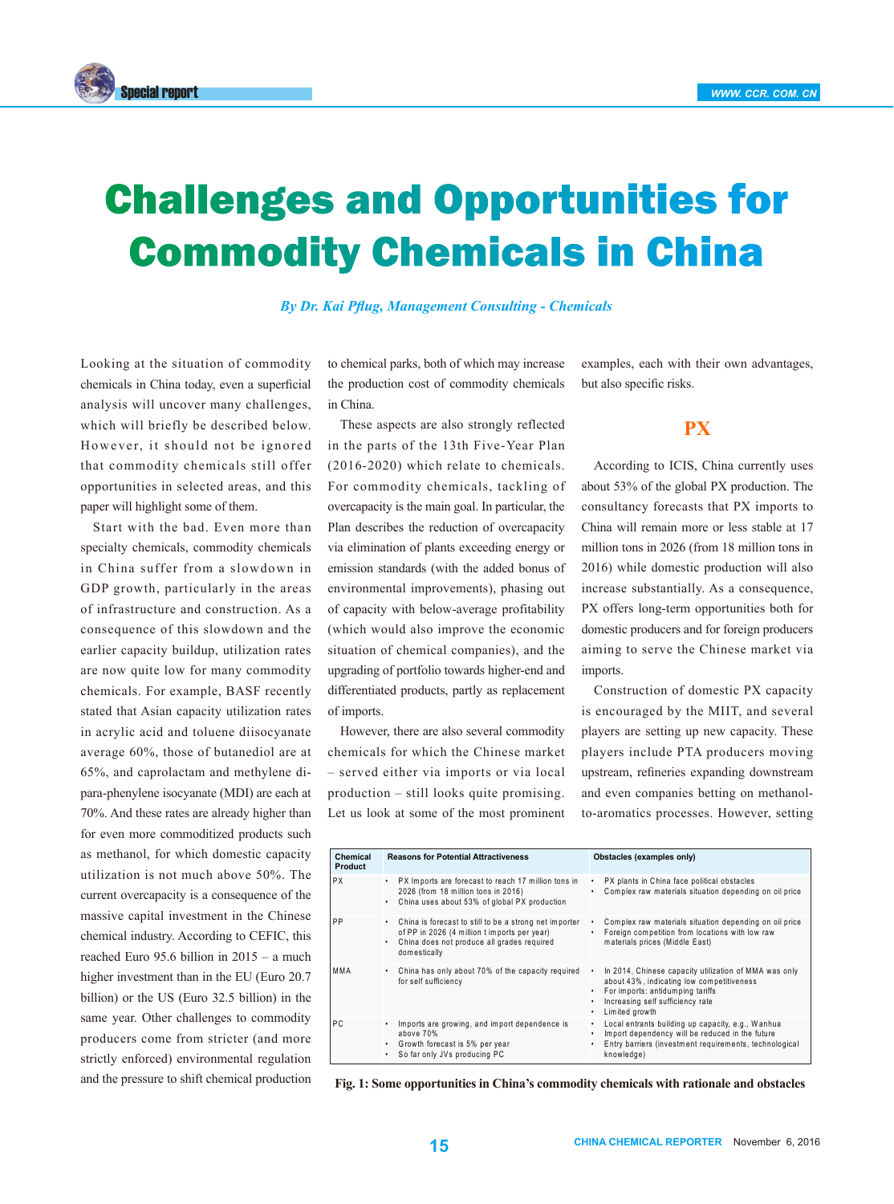

# Challenges and Opportunities for Commodity Chemicals in China

*By Dr. Kai Pflug, Management Consulting - Chemicals*

Looking at the situation of commodity chemicals in China today, even a superficial analysis will uncover many challenges, which will briefly be described below. However, it should not be ignored that commodity chemicals still offer opportunities in selected areas, and this paper will highlight some of them.

Start with the bad. Even more than specialty chemicals, commodity chemicals in China suffer from a slowdown in GDP growth, particularly in the areas of infrastructure and construction. As a consequence of this slowdown and the earlier capacity buildup, utilization rates are now quite low for many commodity chemicals. For example, BASF recently stated that Asian capacity utilization rates in acrylic acid and toluene diisocyanate average 60%, those of butanediol are at 65%, and caprolactam and methylene dipara-phenylene isocyanate (MDI) are each at 70%. And these rates are already higher than for even more commoditized products such as methanol, for which domestic capacity utilization is not much above 50%. The current overcapacity is a consequence of the massive capital investment in the Chinese chemical industry. According to CEFIC, this reached Euro 95.6 billion in 2015 – a much higher investment than in the EU (Euro 20.7 billion) or the US (Euro 32.5 billion) in the same year. Other challenges to commodity producers come from stricter (and more strictly enforced) environmental regulation and the pressure to shift chemical production

to chemical parks, both of which may increase the production cost of commodity chemicals in China.

These aspects are also strongly reflected in the parts of the 13th Five-Year Plan (2016-2020) which relate to chemicals. For commodity chemicals, tackling of overcapacity is the main goal. In particular, the Plan describes the reduction of overcapacity via elimination of plants exceeding energy or emission standards (with the added bonus of environmental improvements), phasing out of capacity with below-average profitability (which would also improve the economic situation of chemical companies), and the upgrading of portfolio towards higher-end and differentiated products, partly as replacement of imports.

However, there are also several commodity chemicals for which the Chinese market – served either via imports or via local production – still looks quite promising. Let us look at some of the most prominent examples, each with their own advantages, but also specific risks.

### **PX**

According to ICIS, China currently uses about 53% of the global PX production. The consultancy forecasts that PX imports to China will remain more or less stable at 17 million tons in 2026 (from 18 million tons in 2016) while domestic production will also increase substantially. As a consequence, PX offers long-term opportunities both for domestic producers and for foreign producers aiming to serve the Chinese market via imports.

Construction of domestic PX capacity is encouraged by the MIIT, and several players are setting up new capacity. These players include PTA producers moving upstream, refineries expanding downstream and even companies betting on methanolto-aromatics processes. However, setting

| Chemical<br>Product | <b>Reasons for Potential Attractiveness</b>                                                                                                                                                    | Obstacles (examples only)                                                                                                                                                                    |
|---------------------|------------------------------------------------------------------------------------------------------------------------------------------------------------------------------------------------|----------------------------------------------------------------------------------------------------------------------------------------------------------------------------------------------|
| <b>PX</b>           | PX Imports are forecast to reach 17 million tons in<br>$\bullet$<br>2026 (from 18 million tons in 2016)<br>China uses about 53% of global PX production<br>٠                                   | PX plants in China face political obstacles<br>Complex raw materials situation depending on oil price<br>$\bullet$                                                                           |
| PP                  | China is forecast to still to be a strong net importer<br>$\bullet$<br>of PP in 2026 (4 million t imports per year)<br>China does not produce all grades required<br>$\bullet$<br>domestically | Complex raw materials situation depending on oil price<br>٠<br>Foreign competition from locations with low raw<br>$\bullet$<br>materials prices (Middle East)                                |
| MMA                 | China has only about 70% of the capacity required<br>٠<br>for self sufficiency                                                                                                                 | In 2014, Chinese capacity utilization of MMA was only<br>about 43%, indicating low competitiveness<br>For imports: antidumping tariffs<br>Increasing self sufficiency rate<br>Limited growth |
| PC.                 | Imports are growing, and import dependence is<br>$\bullet$<br>above 70%<br>Growth forecast is 5% per year<br>$\bullet$<br>So far only JVs producing PC<br>٠                                    | Local entrants building up capacity, e.g., Wanhua<br>Import dependency will be reduced in the future<br>Entry barriers (investment requirements, technological<br>knowledge)                 |

**Fig. 1: Some opportunities in China's commodity chemicals with rationale and obstacles**